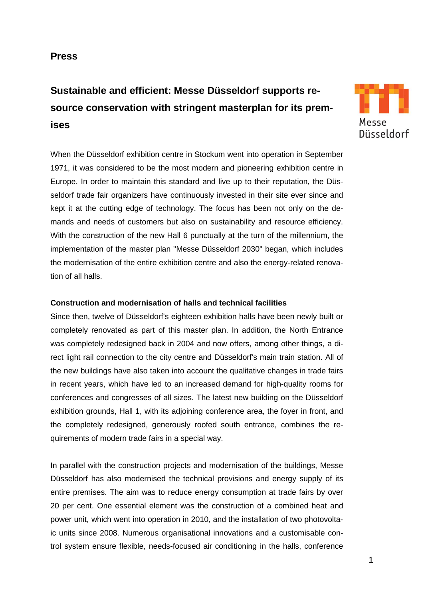# **Press**

# **Sustainable and efficient: Messe Düsseldorf supports resource conservation with stringent masterplan for its premises**



When the Düsseldorf exhibition centre in Stockum went into operation in September 1971, it was considered to be the most modern and pioneering exhibition centre in Europe. In order to maintain this standard and live up to their reputation, the Düsseldorf trade fair organizers have continuously invested in their site ever since and kept it at the cutting edge of technology. The focus has been not only on the demands and needs of customers but also on sustainability and resource efficiency. With the construction of the new Hall 6 punctually at the turn of the millennium, the implementation of the master plan "Messe Düsseldorf 2030" began, which includes the modernisation of the entire exhibition centre and also the energy-related renovation of all halls.

## **Construction and modernisation of halls and technical facilities**

Since then, twelve of Düsseldorf's eighteen exhibition halls have been newly built or completely renovated as part of this master plan. In addition, the North Entrance was completely redesigned back in 2004 and now offers, among other things, a direct light rail connection to the city centre and Düsseldorf's main train station. All of the new buildings have also taken into account the qualitative changes in trade fairs in recent years, which have led to an increased demand for high-quality rooms for conferences and congresses of all sizes. The latest new building on the Düsseldorf exhibition grounds, Hall 1, with its adjoining conference area, the foyer in front, and the completely redesigned, generously roofed south entrance, combines the requirements of modern trade fairs in a special way.

In parallel with the construction projects and modernisation of the buildings, Messe Düsseldorf has also modernised the technical provisions and energy supply of its entire premises. The aim was to reduce energy consumption at trade fairs by over 20 per cent. One essential element was the construction of a combined heat and power unit, which went into operation in 2010, and the installation of two photovoltaic units since 2008. Numerous organisational innovations and a customisable control system ensure flexible, needs-focused air conditioning in the halls, conference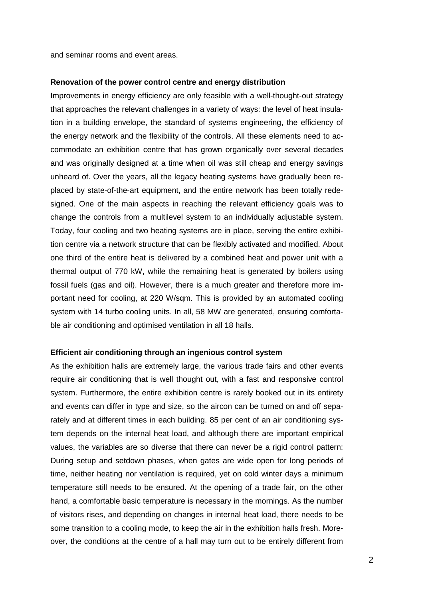and seminar rooms and event areas.

#### **Renovation of the power control centre and energy distribution**

Improvements in energy efficiency are only feasible with a well-thought-out strategy that approaches the relevant challenges in a variety of ways: the level of heat insulation in a building envelope, the standard of systems engineering, the efficiency of the energy network and the flexibility of the controls. All these elements need to accommodate an exhibition centre that has grown organically over several decades and was originally designed at a time when oil was still cheap and energy savings unheard of. Over the years, all the legacy heating systems have gradually been replaced by state-of-the-art equipment, and the entire network has been totally redesigned. One of the main aspects in reaching the relevant efficiency goals was to change the controls from a multilevel system to an individually adjustable system. Today, four cooling and two heating systems are in place, serving the entire exhibition centre via a network structure that can be flexibly activated and modified. About one third of the entire heat is delivered by a combined heat and power unit with a thermal output of 770 kW, while the remaining heat is generated by boilers using fossil fuels (gas and oil). However, there is a much greater and therefore more important need for cooling, at 220 W/sqm. This is provided by an automated cooling system with 14 turbo cooling units. In all, 58 MW are generated, ensuring comfortable air conditioning and optimised ventilation in all 18 halls.

#### **Efficient air conditioning through an ingenious control system**

As the exhibition halls are extremely large, the various trade fairs and other events require air conditioning that is well thought out, with a fast and responsive control system. Furthermore, the entire exhibition centre is rarely booked out in its entirety and events can differ in type and size, so the aircon can be turned on and off separately and at different times in each building. 85 per cent of an air conditioning system depends on the internal heat load, and although there are important empirical values, the variables are so diverse that there can never be a rigid control pattern: During setup and setdown phases, when gates are wide open for long periods of time, neither heating nor ventilation is required, yet on cold winter days a minimum temperature still needs to be ensured. At the opening of a trade fair, on the other hand, a comfortable basic temperature is necessary in the mornings. As the number of visitors rises, and depending on changes in internal heat load, there needs to be some transition to a cooling mode, to keep the air in the exhibition halls fresh. Moreover, the conditions at the centre of a hall may turn out to be entirely different from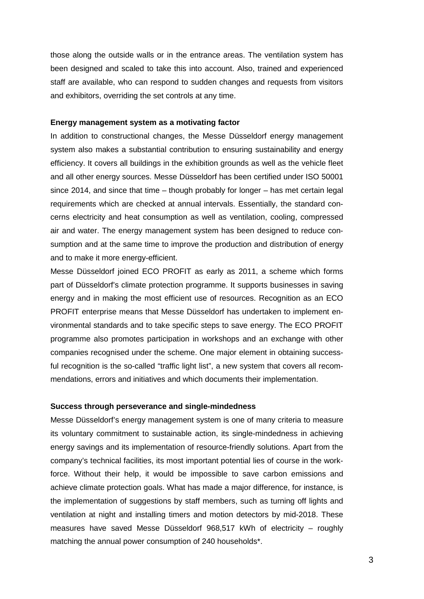those along the outside walls or in the entrance areas. The ventilation system has been designed and scaled to take this into account. Also, trained and experienced staff are available, who can respond to sudden changes and requests from visitors and exhibitors, overriding the set controls at any time.

#### **Energy management system as a motivating factor**

In addition to constructional changes, the Messe Düsseldorf energy management system also makes a substantial contribution to ensuring sustainability and energy efficiency. It covers all buildings in the exhibition grounds as well as the vehicle fleet and all other energy sources. Messe Düsseldorf has been certified under ISO 50001 since 2014, and since that time – though probably for longer – has met certain legal requirements which are checked at annual intervals. Essentially, the standard concerns electricity and heat consumption as well as ventilation, cooling, compressed air and water. The energy management system has been designed to reduce consumption and at the same time to improve the production and distribution of energy and to make it more energy-efficient.

Messe Düsseldorf joined ECO PROFIT as early as 2011, a scheme which forms part of Düsseldorf's climate protection programme. It supports businesses in saving energy and in making the most efficient use of resources. Recognition as an ECO PROFIT enterprise means that Messe Düsseldorf has undertaken to implement environmental standards and to take specific steps to save energy. The ECO PROFIT programme also promotes participation in workshops and an exchange with other companies recognised under the scheme. One major element in obtaining successful recognition is the so-called "traffic light list", a new system that covers all recommendations, errors and initiatives and which documents their implementation.

#### **Success through perseverance and single-mindedness**

Messe Düsseldorf's energy management system is one of many criteria to measure its voluntary commitment to sustainable action, its single-mindedness in achieving energy savings and its implementation of resource-friendly solutions. Apart from the company's technical facilities, its most important potential lies of course in the workforce. Without their help, it would be impossible to save carbon emissions and achieve climate protection goals. What has made a major difference, for instance, is the implementation of suggestions by staff members, such as turning off lights and ventilation at night and installing timers and motion detectors by mid-2018. These measures have saved Messe Düsseldorf 968,517 kWh of electricity – roughly matching the annual power consumption of 240 households\*.